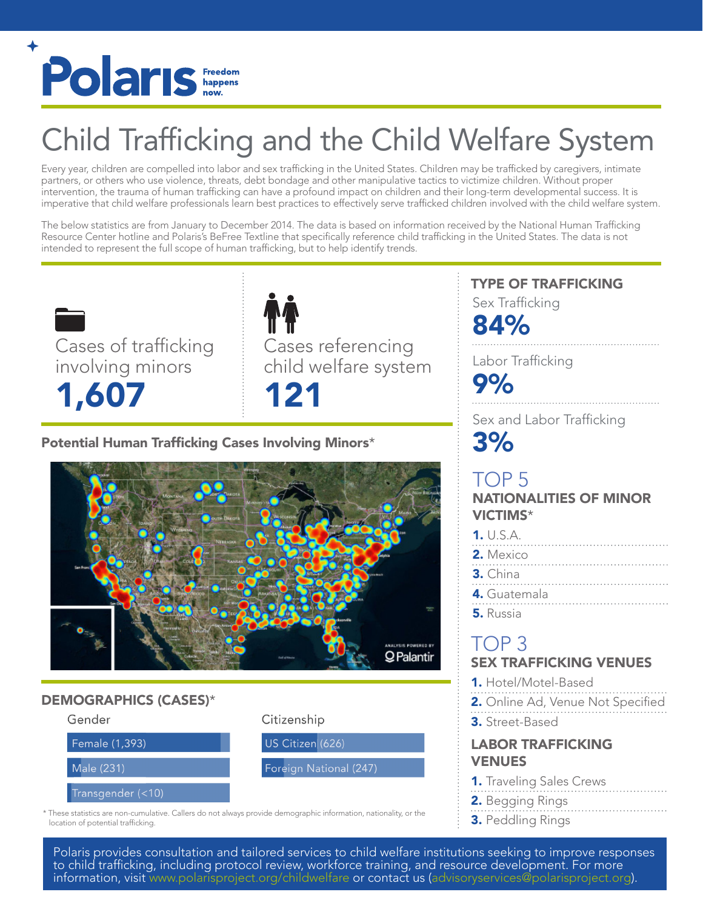

# Child Trafficking and the Child Welfare System

Every year, children are compelled into labor and sex trafficking in the United States. Children may be trafficked by caregivers, intimate partners, or others who use violence, threats, debt bondage and other manipulative tactics to victimize children. Without proper intervention, the trauma of human trafficking can have a profound impact on children and their long-term developmental success. It is imperative that child welfare professionals learn best practices to effectively serve trafficked children involved with the child welfare system.

The below statistics are from January to December 2014. The data is based on information received by the National Human Trafficking Resource Center hotline and Polaris's BeFree Textline that specifically reference child trafficking in the United States. The data is not intended to represent the full scope of human trafficking, but to help identify trends.

Cases of trafficking involving minors 1,607

Cases referencing child welfare system 121

# Potential Human Trafficking Cases Involving Minors\*



# DEMOGRAPHICS (CASES)\*



# Citizenship

US Citizen (626)

### Foreign National (247)

\* These statistics are non-cumulative. Callers do not always provide demographic information, nationality, or the location of potential trafficking.

# TYPE OF TRAFFICKING

Sex Trafficking

84%

Labor Trafficking

9%

Sex and Labor Trafficking 3%

# TOP 5 NATIONALITIES OF MINOR VICTIMS\*

| 1. U.S.A.      |
|----------------|
| 2. Mexico<br>. |
| $3.$ China     |
| 4. Guatemala   |
| 5. Russia      |

# TOP 3 SEX TRAFFICKING VENUES

- 1. Hotel/Motel-Based
- 2. Online Ad, Venue Not Specified
- 3. Street-Based

# LABOR TRAFFICKING VENUES

- **1.** Traveling Sales Crews
- 2. Begging Rings
- 3. Peddling Rings

Polaris provides consultation and tailored services to child welfare institutions seeking to improve responses to child trafficking, including protocol review, workforce training, and resource development. For more information, visit <www.polarisproject.org/childwelfare> or contact us ([advisoryservices@polarisproject.org\)](mailto:advisoryservices@polarisproject.org).